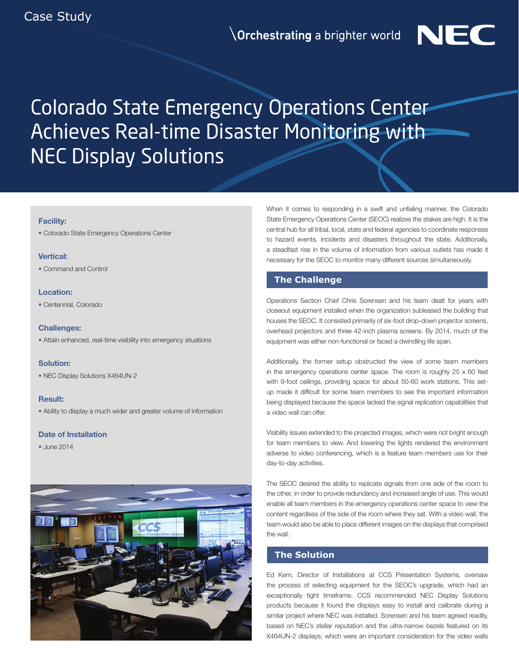# Colorado State Emergency Operations Center Achieves Real-time Disaster Monitoring with NEC Display Solutions

#### Facility:

• Colorado State Emergency Operations Center

## Vertical:

• Command and Control

## Location:

• Centennial, Colorado

#### Challenges:

• Attain enhanced, real-time visibility into emergency situations

# Solution:

• NEC Display Solutions X464UN-2

## Result:

• Ability to display a much wider and greater volume of information

#### Date of Installation

• June 2014



When it comes to responding in a swift and unfailing manner, the Colorado State Emergency Operations Center (SEOC) realizes the stakes are high. It is the central hub for all tribal, local, state and federal agencies to coordinate responses to hazard events, incidents and disasters throughout the state. Additionally, a steadfast rise in the volume of information from various outlets has made it necessary for the SEOC to monitor many different sources simultaneously.

NEC

# **The Challenge**

Operations Section Chief Chris Sorensen and his team dealt for years with closeout equipment installed when the organization subleased the building that houses the SEOC. It consisted primarily of six-foot drop-down projector screens, overhead projectors and three 42-inch plasma screens. By 2014, much of the equipment was either non-functional or faced a dwindling life span.

Additionally, the former setup obstructed the view of some team members in the emergency operations center space. The room is roughly  $25 \times 60$  feet with 9-foot ceilings, providing space for about 50-60 work stations. This setup made it difficult for some team members to see the important information being displayed because the space lacked the signal replication capabilities that a video wall can offer.

Visibility issues extended to the projected images, which were not bright enough for team members to view. And lowering the lights rendered the environment adverse to video conferencing, which is a feature team members use for their day-to-day activities.

The SEOC desired the ability to replicate signals from one side of the room to the other, in order to provide redundancy and increased angle of use. This would enable all team members in the emergency operations center space to view the content regardless of the side of the room where they sat. With a video wall, the team would also be able to place different images on the displays that comprised the wall.

# **The Solution**

Ed Kern, Director of Installations at CCS Presentation Systems, oversaw the process of selecting equipment for the SEOC's upgrade, which had an exceptionally tight timeframe. CCS recommended NEC Display Solutions products because it found the displays easy to install and calibrate during a similar project where NEC was installed. Sorensen and his team agreed readily, based on NEC's stellar reputation and the ultra-narrow bezels featured on its X464UN-2 displays, which were an important consideration for the video walls